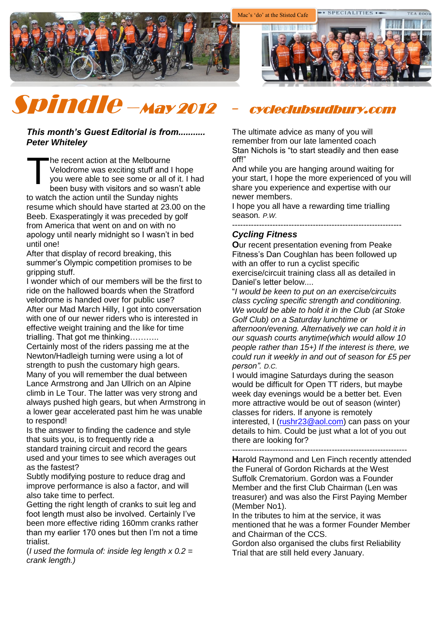

# Spindle –May 2012 - cycleclubsudbury.com

#### *This month's Guest Editorial is from........... Peter Whiteley*

he recent action at the Melbourne Velodrome was exciting stuff and I hope you were able to see some or all of it. I had been busy with visitors and so wasn't able to watch the action until the Sunday nights resume which should have started at 23.00 on the Beeb. Exasperatingly it was preceded by golf from America that went on and on with no apology until nearly midnight so I wasn't in bed until one! T

After that display of record breaking, this summer's Olympic competition promises to be gripping stuff.

I wonder which of our members will be the first to ride on the hallowed boards when the Stratford velodrome is handed over for public use? After our Mad March Hilly, I got into conversation with one of our newer riders who is interested in effective weight training and the like for time trialling. That got me thinking………..

Certainly most of the riders passing me at the Newton/Hadleigh turning were using a lot of strength to push the customary high gears. Many of you will remember the dual between Lance Armstrong and Jan Ullrich on an Alpine climb in Le Tour. The latter was very strong and always pushed high gears, but when Armstrong in a lower gear accelerated past him he was unable

to respond! Is the answer to finding the cadence and style

that suits you, is to frequently ride a standard training circuit and record the gears used and your times to see which averages out as the fastest?

Subtly modifying posture to reduce drag and improve performance is also a factor, and will also take time to perfect.

Getting the right length of cranks to suit leg and foot length must also be involved. Certainly I've been more effective riding 160mm cranks rather than my earlier 170 ones but then I'm not a time trialist.

(*I used the formula of: inside leg length x 0.2 = crank length.)*

The ultimate advice as many of you will remember from our late lamented coach Stan Nichols is "to start steadily and then ease off!"

And while you are hanging around waiting for your start, I hope the more experienced of you will share you experience and expertise with our newer members.

I hope you all have a rewarding time trialling season*. P.W.*

#### ---------------------------------------------------------------

#### *Cycling Fitness*

**O**ur recent presentation evening from Peake Fitness's Dan Coughlan has been followed up with an offer to run a cyclist specific exercise/circuit training class all as detailed in Daniel's letter below....

"*I would be keen to put on an exercise/circuits class cycling specific strength and conditioning. We would be able to hold it in the Club (at Stoke Golf Club) on a Saturday lunchtime or afternoon/evening. Alternatively we can hold it in our squash courts anytime(which would allow 10 people rather than 15+) If the interest is there, we could run it weekly in and out of season for £5 per person". D.C.*

I would imagine Saturdays during the season would be difficult for Open TT riders, but maybe week day evenings would be a better bet. Even more attractive would be out of season (winter) classes for riders. If anyone is remotely interested, I [\(rushr23@aol.com\)](mailto:rushr23@aol.com) can pass on your details to him. Could be just what a lot of you out there are looking for?

-----------------------------------------------------------------

**H**arold Raymond and Len Finch recently attended the Funeral of Gordon Richards at the West Suffolk Crematorium. Gordon was a Founder Member and the first Club Chairman (Len was treasurer) and was also the First Paying Member (Member No1).

In the tributes to him at the service, it was mentioned that he was a former Founder Member and Chairman of the CCS.

Gordon also organised the clubs first Reliability Trial that are still held every January.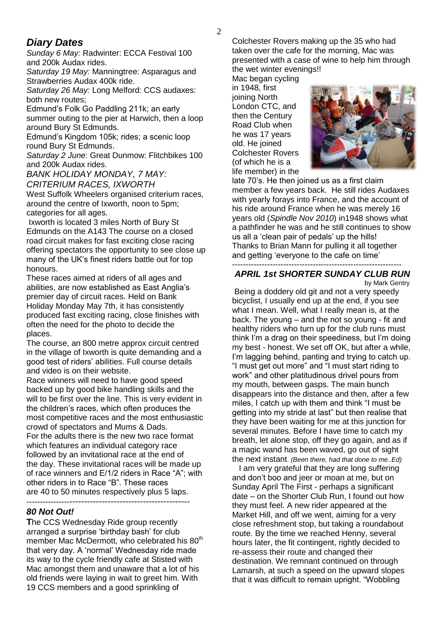### *Diary Dates*

*Sunday 6 May:* Radwinter: ECCA Festival 100 and 200k Audax rides.

*Saturday 19 May:* Manningtree: Asparagus and Strawberries Audax 400k ride.

*Saturday 26 May:* Long Melford: CCS audaxes: both new routes;

Edmund's Folk Go Paddling 211k; an early summer outing to the pier at Harwich, then a loop around Bury St Edmunds.

Edmund's Kingdom 105k; rides; a scenic loop round Bury St Edmunds.

*Saturday 2 June*: Great Dunmow: Flitchbikes 100 and 200k Audax rides.

*BANK HOLIDAY MONDAY, 7 MAY: CRITERIUM RACES, IXWORTH*

West Suffolk Wheelers organised criterium races, around the centre of Ixworth, noon to 5pm; categories for all ages.

Ixworth is located 3 miles North of Bury St Edmunds on the A143 The course on a closed road circuit makes for fast exciting close racing offering spectators the opportunity to see close up many of the UK's finest riders battle out for top honours.

These races aimed at riders of all ages and abilities, are now established as East Anglia's premier day of circuit races. Held on Bank Holiday Monday May 7th, it has consistently produced fast exciting racing, close finishes with often the need for the photo to decide the places.

The course, an 800 metre approx circuit centred in the village of Ixworth is quite demanding and a good test of riders' abilities. Full course details and video is on their website.

Race winners will need to have good speed backed up by good bike handling skills and the will to be first over the line. This is very evident in the children's races, which often produces the most competitive races and the most enthusiastic crowd of spectators and Mums & Dads. For the adults there is the new two race format which features an individual category race followed by an invitational race at the end of the day. These invitational races will be made up of race winners and E/1/2 riders in Race "A"; with other riders in to Race "B". These races are 40 to 50 minutes respectively plus 5 laps. ---------------------------------------------------------

#### *80 Not Out!*

**T**he CCS Wednesday Ride group recently arranged a surprise 'birthday bash' for club member Mac McDermott, who celebrated his 80<sup>th</sup> that very day. A 'normal' Wednesday ride made its way to the cycle friendly cafe at Stisted with Mac amongst them and unaware that a lot of his old friends were laying in wait to greet him. With 19 CCS members and a good sprinkling of

Colchester Rovers making up the 35 who had taken over the cafe for the morning, Mac was presented with a case of wine to help him through the wet winter evenings!!

Mac began cycling in 1948, first joining North London CTC, and then the Century Road Club when he was 17 years old. He joined Colchester Rovers (of which he is a life member) in the



late 70's. He then joined us as a first claim member a few years back. He still rides Audaxes with yearly forays into France, and the account of his ride around France when he was merely 16 years old (*Spindle Nov 2010*) in1948 shows what a pathfinder he was and he still continues to show us all a 'clean pair of pedals' up the hills! Thanks to Brian Mann for pulling it all together and getting 'everyone to the cafe on time'

#### --------------------------------------------------------------- *APRIL 1st SHORTER SUNDAY CLUB RUN* by Mark Gentry

Being a doddery old git and not a very speedy bicyclist, I usually end up at the end, if you see what I mean. Well, what I really mean is, at the back. The young – and the not so young - fit and healthy riders who turn up for the club runs must think I'm a drag on their speediness, but I'm doing my best - honest. We set off OK, but after a while, I'm lagging behind, panting and trying to catch up. "I must get out more" and "I must start riding to work" and other platitudinous drivel pours from my mouth, between gasps. The main bunch disappears into the distance and then, after a few miles, I catch up with them and think "I must be getting into my stride at last" but then realise that they have been waiting for me at this junction for several minutes. Before I have time to catch my breath, let alone stop, off they go again, and as if a magic wand has been waved, go out of sight the next instant. *(Been there, had that done to me..Ed)*

 I am very grateful that they are long suffering and don't boo and jeer or moan at me, but on Sunday April The First - perhaps a significant date – on the Shorter Club Run, I found out how they must feel. A new rider appeared at the Market Hill, and off we went, aiming for a very close refreshment stop, but taking a roundabout route. By the time we reached Henny, several hours later, the fit contingent, rightly decided to re-assess their route and changed their destination. We remnant continued on through Lamarsh, at such a speed on the upward slopes that it was difficult to remain upright. "Wobbling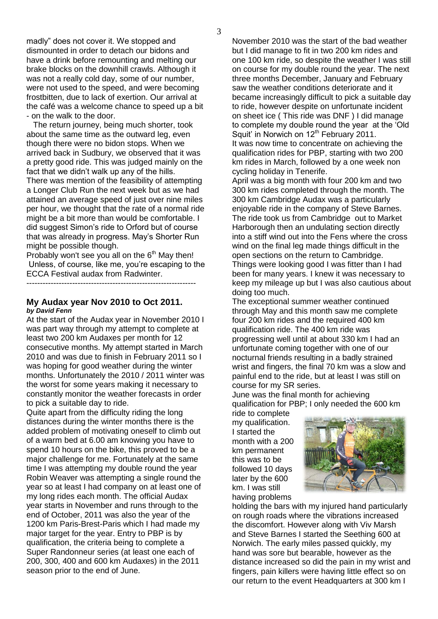madly" does not cover it. We stopped and dismounted in order to detach our bidons and have a drink before remounting and melting our brake blocks on the downhill crawls. Although it was not a really cold day, some of our number, were not used to the speed, and were becoming frostbitten, due to lack of exertion. Our arrival at the café was a welcome chance to speed up a bit - on the walk to the door.

 The return journey, being much shorter, took about the same time as the outward leg, even though there were no bidon stops. When we arrived back in Sudbury, we observed that it was a pretty good ride. This was judged mainly on the fact that we didn't walk up any of the hills. There was mention of the feasibility of attempting a Longer Club Run the next week but as we had attained an average speed of just over nine miles per hour, we thought that the rate of a normal ride might be a bit more than would be comfortable. I did suggest Simon's ride to Orford but of course that was already in progress. May's Shorter Run might be possible though.

Probably won't see you all on the  $6<sup>th</sup>$  May then! Unless, of course, like me, you're escaping to the ECCA Festival audax from Radwinter.

---------------------------------------------------------------

#### **My Audax year Nov 2010 to Oct 2011.**  *by David Fenn*

At the start of the Audax year in November 2010 I was part way through my attempt to complete at least two 200 km Audaxes per month for 12 consecutive months. My attempt started in March 2010 and was due to finish in February 2011 so I was hoping for good weather during the winter months. Unfortunately the 2010 / 2011 winter was the worst for some years making it necessary to constantly monitor the weather forecasts in order to pick a suitable day to ride.

Quite apart from the difficulty riding the long distances during the winter months there is the added problem of motivating oneself to climb out of a warm bed at 6.00 am knowing you have to spend 10 hours on the bike, this proved to be a major challenge for me. Fortunately at the same time I was attempting my double round the year Robin Weaver was attempting a single round the year so at least I had company on at least one of my long rides each month. The official Audax year starts in November and runs through to the end of October, 2011 was also the year of the 1200 km Paris-Brest-Paris which I had made my major target for the year. Entry to PBP is by qualification, the criteria being to complete a Super Randonneur series (at least one each of 200, 300, 400 and 600 km Audaxes) in the 2011 season prior to the end of June.

November 2010 was the start of the bad weather but I did manage to fit in two 200 km rides and one 100 km ride, so despite the weather I was still on course for my double round the year. The next three months December, January and February saw the weather conditions deteriorate and it became increasingly difficult to pick a suitable day to ride, however despite on unfortunate incident on sheet ice ( This ride was DNF ) I did manage to complete my double round the year at the 'Old Squit' in Norwich on 12<sup>th</sup> February 2011. It was now time to concentrate on achieving the qualification rides for PBP, starting with two 200 km rides in March, followed by a one week non cycling holiday in Tenerife.

April was a big month with four 200 km and two 300 km rides completed through the month. The 300 km Cambridge Audax was a particularly enjoyable ride in the company of Steve Barnes. The ride took us from Cambridge out to Market Harborough then an undulating section directly into a stiff wind out into the Fens where the cross wind on the final leg made things difficult in the open sections on the return to Cambridge. Things were looking good I was fitter than I had been for many years. I knew it was necessary to keep my mileage up but I was also cautious about doing too much.

The exceptional summer weather continued through May and this month saw me complete four 200 km rides and the required 400 km qualification ride. The 400 km ride was progressing well until at about 330 km I had an unfortunate coming together with one of our nocturnal friends resulting in a badly strained wrist and fingers, the final 70 km was a slow and painful end to the ride, but at least I was still on course for my SR series.

June was the final month for achieving qualification for PBP; I only needed the 600 km

ride to complete my qualification. I started the month with a 200 km permanent this was to be followed 10 days later by the 600 km. I was still having problems



holding the bars with my injured hand particularly on rough roads where the vibrations increased the discomfort. However along with Viv Marsh and Steve Barnes I started the Seething 600 at Norwich. The early miles passed quickly, my hand was sore but bearable, however as the distance increased so did the pain in my wrist and fingers, pain killers were having little effect so on our return to the event Headquarters at 300 km I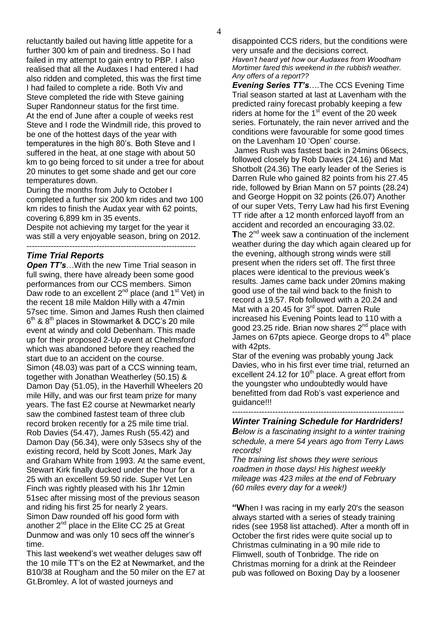reluctantly bailed out having little appetite for a further 300 km of pain and tiredness. So I had failed in my attempt to gain entry to PBP. I also realised that all the Audaxes I had entered I had also ridden and completed, this was the first time I had failed to complete a ride. Both Viv and Steve completed the ride with Steve gaining Super Randonneur status for the first time. At the end of June after a couple of weeks rest Steve and I rode the Windmill ride, this proved to be one of the hottest days of the year with temperatures in the high 80's. Both Steve and I suffered in the heat, at one stage with about 50 km to go being forced to sit under a tree for about 20 minutes to get some shade and get our core temperatures down.

During the months from July to October I completed a further six 200 km rides and two 100 km rides to finish the Audax year with 62 points, covering 6,899 km in 35 events.

Despite not achieving my target for the year it was still a very enjoyable season, bring on 2012. ---------------------------------------------------------------

#### *Time Trial Reports*

**Open TT's...With the new Time Trial season in** full swing, there have already been some good performances from our CCS members. Simon Daw rode to an excellent 2<sup>nd</sup> place (and 1<sup>st</sup> Vet) in the recent 18 mile Maldon Hilly with a 47min 57sec time. Simon and James Rush then claimed  $6<sup>th</sup>$  &  $8<sup>th</sup>$  places in Stowmarket & DCC's 20 mile event at windy and cold Debenham. This made up for their proposed 2-Up event at Chelmsford which was abandoned before they reached the start due to an accident on the course. Simon (48.03) was part of a CCS winning team, together with Jonathan Weatherley (50.15) & Damon Day (51.05), in the Haverhill Wheelers 20 mile Hilly, and was our first team prize for many years. The fast E2 course at Newmarket nearly saw the combined fastest team of three club record broken recently for a 25 mile time trial. Rob Davies (54.47), James Rush (55.42) and Damon Day (56.34), were only 53secs shy of the existing record, held by Scott Jones, Mark Jay and Graham White from 1993. At the same event, Stewart Kirk finally ducked under the hour for a 25 with an excellent 59.50 ride. Super Vet Len Finch was rightly pleased with his 1hr 12min 51sec after missing most of the previous season and riding his first 25 for nearly 2 years. Simon Daw rounded off his good form with another  $2^{nd}$  place in the Elite CC 25 at Great Dunmow and was only 10 secs off the winner's time.

This last weekend's wet weather deluges saw off the 10 mile TT's on the E2 at Newmarket, and the B10/38 at Rougham and the 50 miler on the E7 at Gt.Bromley. A lot of wasted journeys and

disappointed CCS riders, but the conditions were very unsafe and the decisions correct. *Haven't heard yet how our Audaxes from Woodham Mortimer fared this weekend in the rubbish weather. Any offers of a report??*

*Evening Series TT's*….The CCS Evening Time Trial season started at last at Lavenham with the predicted rainy forecast probably keeping a few riders at home for the  $1<sup>st</sup>$  event of the 20 week series. Fortunately, the rain never arrived and the conditions were favourable for some good times on the Lavenham 10 'Open' course.

James Rush was fastest back in 24mins 06secs, followed closely by Rob Davies (24.16) and Mat Shotbolt (24.36) The early leader of the Series is Darren Rule who gained 82 points from his 27.45 ride, followed by Brian Mann on 57 points (28.24) and George Hoppit on 32 points (26.07) Another of our super Vets, Terry Law had his first Evening TT ride after a 12 month enforced layoff from an accident and recorded an encouraging 33.02. The 2<sup>nd</sup> week saw a continuation of the inclement weather during the day which again cleared up for the evening, although strong winds were still present when the riders set off. The first three places were identical to the previous week's results. James came back under 20mins making good use of the tail wind back to the finish to record a 19.57. Rob followed with a 20.24 and Mat with a 20.45 for  $3<sup>rd</sup>$  spot. Darren Rule increased his Evening Points lead to 110 with a good 23.25 ride. Brian now shares  $2^{nd}$  place with James on 67pts apiece. George drops to  $4<sup>th</sup>$  place with 42pts.

Star of the evening was probably young Jack Davies, who in his first ever time trial, returned an excellent 24.12 for  $10<sup>th</sup>$  place. A great effort from the youngster who undoubtedly would have benefitted from dad Rob's vast experience and guidance!!!

#### ---------------------------------------------------------------- *Winter Training Schedule for Hardriders!*

*Below is a fascinating insight to a winter training schedule, a mere 54 years ago from Terry Laws records!* 

*The training list shows they were serious roadmen in those days! His highest weekly mileage was 423 miles at the end of February (60 miles every day for a week!)*

**"W**hen I was racing in my early 20's the season always started with a series of steady training rides (see 1958 list attached). After a month off in October the first rides were quite social up to Christmas culminating in a 90 mile ride to Flimwell, south of Tonbridge. The ride on Christmas morning for a drink at the Reindeer pub was followed on Boxing Day by a loosener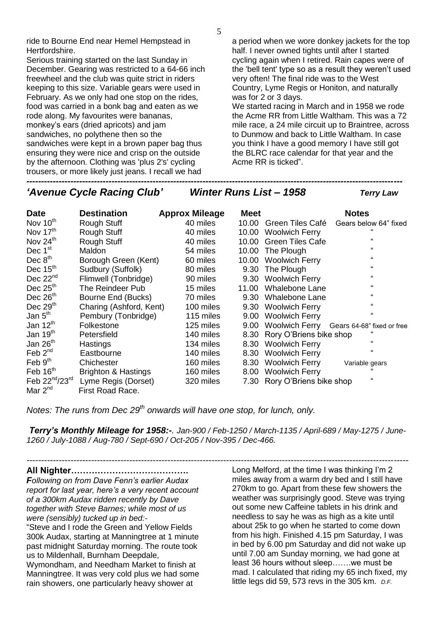ride to Bourne End near Hemel Hempstead in Hertfordshire.

Serious training started on the last Sunday in December. Gearing was restricted to a 64-66 inch freewheel and the club was quite strict in riders keeping to this size. Variable gears were used in February. As we only had one stop on the rides, food was carried in a bonk bag and eaten as we rode along. My favourites were bananas, monkey's ears (dried apricots) and jam sandwiches, no polythene then so the sandwiches were kept in a brown paper bag thus ensuring they were nice and crisp on the outside by the afternoon. Clothing was 'plus 2's' cycling trousers, or more likely just jeans. I recall we had

a period when we wore donkey jackets for the top half. I never owned tights until after I started cycling again when I retired. Rain capes were of the 'bell tent' type so as a result they weren't used very often! The final ride was to the West Country, Lyme Regis or Honiton, and naturally was for 2 or 3 days.

We started racing in March and in 1958 we rode the Acme RR from Little Waltham. This was a 72 mile race, a 24 mile circuit up to Braintree, across to Dunmow and back to Little Waltham. In case you think I have a good memory I have still got the BLRC race calendar for that year and the Acme RR is ticked".

*'Avenue Cycle Racing Club' Winter Runs List – 1958 Terry Law* 

| <b>Date</b>          | <b>Destination</b>             | <b>Approx Mileage</b> | <b>Meet</b> |                         | <b>Notes</b>                              |
|----------------------|--------------------------------|-----------------------|-------------|-------------------------|-------------------------------------------|
| Nov 10 <sup>th</sup> | Rough Stuff                    | 40 miles              | 10.00       | Green Tiles Café        | Gears below 64" fixed                     |
| Nov $17th$           | Rough Stuff                    | 40 miles              | 10.00       | <b>Woolwich Ferry</b>   |                                           |
| Nov 24 <sup>th</sup> | Rough Stuff                    | 40 miles              | 10.00       | <b>Green Tiles Cafe</b> | $\epsilon$                                |
| Dec 1 <sup>st</sup>  | Maldon                         | 54 miles              | 10.00       | The Plough              | $\epsilon$                                |
| Dec $8th$            | Borough Green (Kent)           | 60 miles              | 10.00       | <b>Woolwich Ferry</b>   | $\epsilon$                                |
| Dec $15th$           | Sudbury (Suffolk)              | 80 miles              | 9.30        | The Plough              | $\epsilon$                                |
| Dec $22nd$           | Flimwell (Tonbridge)           | 90 miles              | 9.30        | <b>Woolwich Ferry</b>   | $\epsilon$                                |
| Dec $25th$           | The Reindeer Pub               | 15 miles              | 11.00       | <b>Whalebone Lane</b>   | $\epsilon$                                |
| Dec $26th$           | Bourne End (Bucks)             | 70 miles              | 9.30        | Whalebone Lane          | $\epsilon$                                |
| Dec $29th$           | Charing (Ashford, Kent)        | 100 miles             | 9.30        | <b>Woolwich Ferry</b>   | $\epsilon$                                |
| Jan $5th$            | Pembury (Tonbridge)            | 115 miles             | 9.00        | <b>Woolwich Ferry</b>   | $\mathbf{a}$                              |
| Jan $12th$           | Folkestone                     | 125 miles             | 9.00        |                         | Woolwich Ferry Gears 64-68" fixed or free |
| Jan $19th$           | Petersfield                    | 140 miles             | 8.30        | Rory O'Briens bike shop | "                                         |
| Jan 26 <sup>th</sup> | Hastings                       | 134 miles             | 8.30        | <b>Woolwich Ferry</b>   | $\epsilon$                                |
| Feb $2^{nd}$         | Eastbourne                     | 140 miles             | 8.30        | <b>Woolwich Ferry</b>   | $\epsilon$                                |
| Feb $9th$            | Chichester                     | 160 miles             | 8.30        | <b>Woolwich Ferry</b>   | Variable gears                            |
| Feb 16 <sup>th</sup> | <b>Brighton &amp; Hastings</b> | 160 miles             | 8.00        | <b>Woolwich Ferry</b>   |                                           |
| Feb 22nd/23rd        | Lyme Regis (Dorset)            | 320 miles             | 7.30        | Rory O'Briens bike shop | $\epsilon$                                |
| Mar $2^{nd}$         | First Road Race.               |                       |             |                         |                                           |

*--------------------------------------------------------------------------------------------------------------------------------*

*Notes: The runs from Dec 29th onwards will have one stop, for lunch, only.*

*Terry's Monthly Mileage for 1958:-. Jan-900 / Feb-1250 / March-1135 / April-689 / May-1275 / June-1260 / July-1088 / Aug-780 / Sept-690 / Oct-205 / Nov-395 / Dec-466.*

*----------------------------------------------------------------------------------------------------------------------------------*

**All Nighter………………………………….**

*Following on from Dave Fenn's earlier Audax report for last year, here's a very recent account of a 300km Audax ridden recently by Dave together with Steve Barnes; while most of us were (sensibly) tucked up in bed:-*

"Steve and I rode the Green and Yellow Fields 300k Audax, starting at Manningtree at 1 minute past midnight Saturday morning. The route took us to Mildenhall, Burnham Deepdale,

Wymondham, and Needham Market to finish at Manningtree. It was very cold plus we had some rain showers, one particularly heavy shower at

Long Melford, at the time I was thinking I'm 2 miles away from a warm dry bed and I still have 270km to go. Apart from these few showers the weather was surprisingly good. Steve was trying out some new Caffeine tablets in his drink and needless to say he was as high as a kite until about 25k to go when he started to come down from his high. Finished 4.15 pm Saturday, I was in bed by 6.00 pm Saturday and did not wake up until 7.00 am Sunday morning, we had gone at least 36 hours without sleep…….we must be mad. I calculated that riding my 65 inch fixed, my little legs did 59, 573 revs in the 305 km. *D.F.*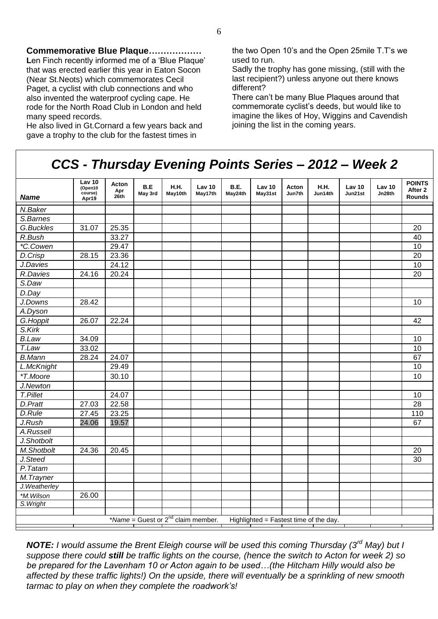**Commemorative Blue Plaque………………** Len Finch recently informed me of a 'Blue Plaque' that was erected earlier this year in Eaton Socon (Near St.Neots) which commemorates Cecil Paget, a cyclist with club connections and who also invented the waterproof cycling cape. He rode for the North Road Club in London and held many speed records.

He also lived in Gt.Cornard a few years back and gave a trophy to the club for the fastest times in

the two Open 10's and the Open 25mile T.T's we used to run.

Sadly the trophy has gone missing, (still with the last recipient?) unless anyone out there knows different?

There can't be many Blue Plaques around that commemorate cyclist's deeds, but would like to imagine the likes of Hoy, Wiggins and Cavendish joining the list in the coming years.

## *CCS - Thursday Evening Points Series – 2012 – Week 2*

| <b>Name</b>                                                                       | Lav 10<br>(Open10<br>course)<br>Apr19 | Acton<br>Apr<br>26th | B.E<br>May 3rd | <b>H.H.</b><br>May10th | Law <sub>10</sub><br>May17th | B.E.<br>May24th | Lav <sub>10</sub><br>May31st | Acton<br>Jun7th | <b>H.H.</b><br>Jun14th | Law <sub>10</sub><br>Jun21st | <b>Lav 10</b><br>Jn28th | <b>POINTS</b><br>After 2<br><b>Rounds</b> |
|-----------------------------------------------------------------------------------|---------------------------------------|----------------------|----------------|------------------------|------------------------------|-----------------|------------------------------|-----------------|------------------------|------------------------------|-------------------------|-------------------------------------------|
| N.Baker                                                                           |                                       |                      |                |                        |                              |                 |                              |                 |                        |                              |                         |                                           |
| S.Barnes                                                                          |                                       |                      |                |                        |                              |                 |                              |                 |                        |                              |                         |                                           |
| G.Buckles                                                                         | 31.07                                 | 25.35                |                |                        |                              |                 |                              |                 |                        |                              |                         | 20                                        |
| R.Bush                                                                            |                                       | 33.27                |                |                        |                              |                 |                              |                 |                        |                              |                         | 40                                        |
| *C.Cowen                                                                          |                                       | 29.47                |                |                        |                              |                 |                              |                 |                        |                              |                         | 10                                        |
| D.Crisp                                                                           | 28.15                                 | 23.36                |                |                        |                              |                 |                              |                 |                        |                              |                         | $\overline{20}$                           |
| J.Davies                                                                          |                                       | 24.12                |                |                        |                              |                 |                              |                 |                        |                              |                         | 10                                        |
| R.Davies                                                                          | 24.16                                 | 20.24                |                |                        |                              |                 |                              |                 |                        |                              |                         | $\overline{20}$                           |
| S.Daw                                                                             |                                       |                      |                |                        |                              |                 |                              |                 |                        |                              |                         |                                           |
| D.Day                                                                             |                                       |                      |                |                        |                              |                 |                              |                 |                        |                              |                         |                                           |
| J.Downs                                                                           | 28.42                                 |                      |                |                        |                              |                 |                              |                 |                        |                              |                         | 10                                        |
| A.Dyson                                                                           |                                       |                      |                |                        |                              |                 |                              |                 |                        |                              |                         |                                           |
| G.Hoppit                                                                          | 26.07                                 | 22.24                |                |                        |                              |                 |                              |                 |                        |                              |                         | $\overline{42}$                           |
| S.Kirk                                                                            |                                       |                      |                |                        |                              |                 |                              |                 |                        |                              |                         |                                           |
| <b>B.Law</b>                                                                      | 34.09                                 |                      |                |                        |                              |                 |                              |                 |                        |                              |                         | 10                                        |
| T.Law                                                                             | 33.02                                 |                      |                |                        |                              |                 |                              |                 |                        |                              |                         | 10                                        |
| <b>B.Mann</b>                                                                     | 28.24                                 | 24.07                |                |                        |                              |                 |                              |                 |                        |                              |                         | 67                                        |
| L.McKnight                                                                        |                                       | 29.49                |                |                        |                              |                 |                              |                 |                        |                              |                         | 10                                        |
| *T.Moore                                                                          |                                       | 30.10                |                |                        |                              |                 |                              |                 |                        |                              |                         | 10                                        |
| J.Newton                                                                          |                                       |                      |                |                        |                              |                 |                              |                 |                        |                              |                         |                                           |
| T.Pillet                                                                          |                                       | 24.07                |                |                        |                              |                 |                              |                 |                        |                              |                         | 10                                        |
| D.Pratt                                                                           | 27.03                                 | 22.58                |                |                        |                              |                 |                              |                 |                        |                              |                         | 28                                        |
| D.Rule                                                                            | 27.45                                 | 23.25                |                |                        |                              |                 |                              |                 |                        |                              |                         | 110                                       |
| J.Rush                                                                            | 24.06                                 | 19.57                |                |                        |                              |                 |                              |                 |                        |                              |                         | 67                                        |
| A.Russell                                                                         |                                       |                      |                |                        |                              |                 |                              |                 |                        |                              |                         |                                           |
| J.Shotbolt                                                                        |                                       |                      |                |                        |                              |                 |                              |                 |                        |                              |                         |                                           |
| M.Shotbolt                                                                        | 24.36                                 | 20.45                |                |                        |                              |                 |                              |                 |                        |                              |                         | 20                                        |
| J.Steed                                                                           |                                       |                      |                |                        |                              |                 |                              |                 |                        |                              |                         | 30                                        |
| P.Tatam                                                                           |                                       |                      |                |                        |                              |                 |                              |                 |                        |                              |                         |                                           |
| $\overline{M}$ . Trayner                                                          |                                       |                      |                |                        |                              |                 |                              |                 |                        |                              |                         |                                           |
| J.Weatherley                                                                      |                                       |                      |                |                        |                              |                 |                              |                 |                        |                              |                         |                                           |
| *M.Wilson                                                                         | 26.00                                 |                      |                |                        |                              |                 |                              |                 |                        |                              |                         |                                           |
| S. Wright                                                                         |                                       |                      |                |                        |                              |                 |                              |                 |                        |                              |                         |                                           |
|                                                                                   |                                       |                      |                |                        |                              |                 |                              |                 |                        |                              |                         |                                           |
| *Name = Guest or $2^{nd}$ claim member.<br>Highlighted = Fastest time of the day. |                                       |                      |                |                        |                              |                 |                              |                 |                        |                              |                         |                                           |

*NOTE: I would assume the Brent Eleigh course will be used this coming Thursday (3rd May) but I suppose there could still be traffic lights on the course, (hence the switch to Acton for week 2) so be prepared for the Lavenham 10 or Acton again to be used…(the Hitcham Hilly would also be affected by these traffic lights!) On the upside, there will eventually be a sprinkling of new smooth tarmac to play on when they complete the roadwork's!*